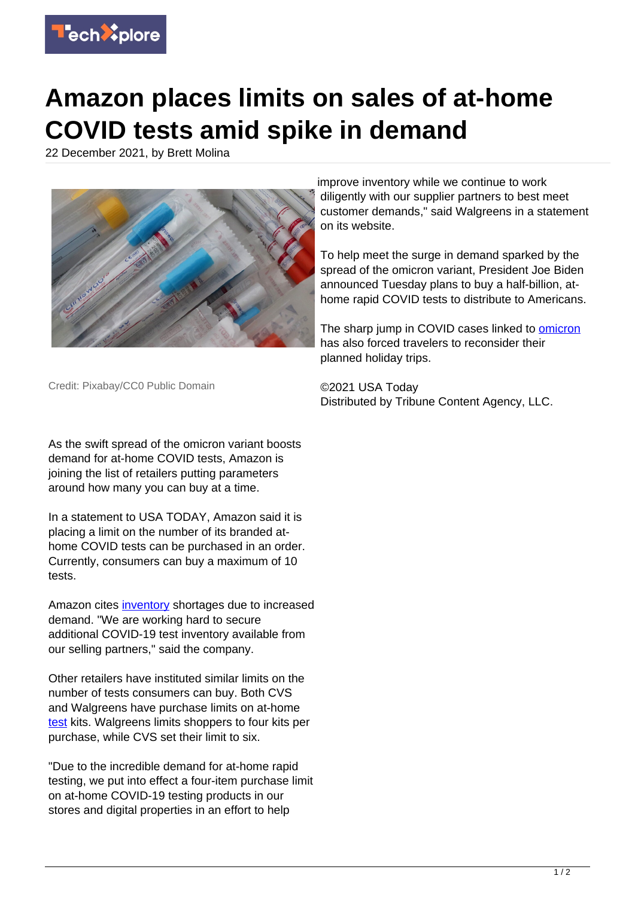

## **Amazon places limits on sales of at-home COVID tests amid spike in demand**

22 December 2021, by Brett Molina



improve inventory while we continue to work diligently with our supplier partners to best meet customer demands," said Walgreens in a statement on its website.

To help meet the surge in demand sparked by the spread of the omicron variant, President Joe Biden announced Tuesday plans to buy a half-billion, athome rapid COVID tests to distribute to Americans.

The sharp jump in COVID cases linked to **omicron** has also forced travelers to reconsider their planned holiday trips.

©2021 USA Today Distributed by Tribune Content Agency, LLC.

Credit: Pixabay/CC0 Public Domain

As the swift spread of the omicron variant boosts demand for at-home COVID tests, Amazon is joining the list of retailers putting parameters around how many you can buy at a time.

In a statement to USA TODAY, Amazon said it is placing a limit on the number of its branded athome COVID tests can be purchased in an order. Currently, consumers can buy a maximum of 10 tests.

Amazon cites [inventory](https://techxplore.com/tags/inventory/) shortages due to increased demand. "We are working hard to secure additional COVID-19 test inventory available from our selling partners," said the company.

Other retailers have instituted similar limits on the number of tests consumers can buy. Both CVS and Walgreens have purchase limits on at-home [test](https://techxplore.com/tags/test/) kits. Walgreens limits shoppers to four kits per purchase, while CVS set their limit to six.

"Due to the incredible demand for at-home rapid testing, we put into effect a four-item purchase limit on at-home COVID-19 testing products in our stores and digital properties in an effort to help